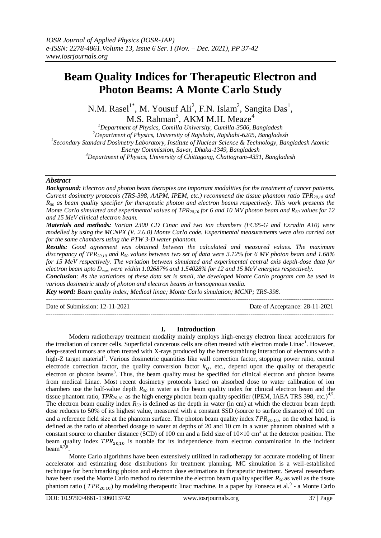# **Beam Quality Indices for Therapeutic Electron and Photon Beams: A Monte Carlo Study**

N.M. Rasel<sup>1\*</sup>, M. Yousuf Ali<sup>2</sup>, F.N. Islam<sup>2</sup>, Sangita Das<sup>1</sup>, M.S. Rahman $^3$ , AKM M.H. Meaze $^4$ 

*Department of Physics, Comilla University, Cumilla-3506, Bangladesh Department of Physics, University of Rajshahi, Rajshahi-6205, Bangladesh Secondary Standard Dosimetry Laboratory, Institute of Nuclear Science & Technology, Bangladesh Atomic Energy Commission, Savar, Dhaka-1349, Bangladesh Department of Physics, University of Chittagong, Chattogram-4331, Bangladesh*

## *Abstract*

*Background: Electron and photon beam therapies are important modalities for the treatment of cancer patients. Current dosimetry protocols (TRS-398, AAPM, IPEM, etc.) recommend the tissue phantom ratio TPR20,10 and R<sup>50</sup> as beam quality specifier for therapeutic photon and electron beams respectively. This work presents the Monte Carlo simulated and experimental values of TPR20,10 for 6 and 10 MV photon beam and R<sup>50</sup> values for 12 and 15 MeV clinical electron beam.*

*Materials and methods: Varian 2300 CD Cinac and two ion chambers (FC65-G and Exradin A10) were modelled by using the MCNPX (V. 2.6.0) Monte Carlo code. Experimental measurements were also carried out for the same chambers using the PTW 3-D water phantom.*

*Results: Good agreement was obtained between the calculated and measured values. The maximum discrepancy of TPR20,10 and R<sup>50</sup> values between two set of data were 3.12% for 6 MV photon beam and 1.68% for 15 MeV respectively. The variation between simulated and experimental central axis depth-dose data for electron beam upto Dmax were within 1.02687% and 1.54028% for 12 and 15 MeV energies respectively.*

*Conclusion: As the variations of these data set is small, the developed Monte Carlo program can be used in various dosimetric study of photon and electron beams in homogenous media.* 

*Key word: Beam quality index; Medical linac; Monte Carlo simulation; MCNP; TRS-398.*  $-1.1$ 

Date of Submission: 12-11-2021 Date of Acceptance: 28-11-2021

## **I. Introduction**

---------------------------------------------------------------------------------------------------------------------------------------

Modern radiotherapy treatment modality mainly employs high-energy electron linear accelerators for the irradiation of cancer cells. Superficial cancerous cells are often treated with electron mode Linac<sup>1</sup>. However, deep-seated tumors are often treated with X-rays produced by the bremsstrahlung interaction of electrons with a high-Z target material<sup>2</sup>. Various dosimetric quantities like wall correction factor, stopping power ratio, central electrode correction factor, the quality conversion factor  $k_0$ , etc., depend upon the quality of therapeutic electron or photon beams<sup>3</sup>. Thus, the beam quality must be specified for clinical electron and photon beams from medical Linac. Most recent dosimetry protocols based on absorbed dose to water calibration of ion chambers use the half-value depth *R<sup>50</sup>* in water as the beam quality index for clinical electron beam and the tissue phantom ratio,  $TPR_{20,10}$  as the high energy photon beam quality specifier (IPEM, IAEA TRS 398, etc.)<sup>4,5</sup>. The electron beam quality index  $R_{50}$  is defined as the depth in water (in cm) at which the electron beam depth dose reduces to 50% of its highest value, measured with a constant SSD (source to surface distance) of 100 cm and a reference field size at the phantom surface. The photon beam quality index  $TPR_{20,10}$ , on the other hand, is defined as the ratio of absorbed dosage to water at depths of 20 and 10 cm in a water phantom obtained with a constant source to chamber distance (SCD) of 100 cm and a field size of  $10\times10$  cm<sup>2</sup> at the detector position. The beam quality index  $TPR_{20,10}$  is notable for its independence from electron contamination in the incident beam $^{6,7,8}$ .

Monte Carlo algorithms have been extensively utilized in radiotherapy for accurate modeling of linear accelerator and estimating dose distributions for treatment planning. MC simulation is a well-established technique for benchmarking photon and electron dose estimations in therapeutic treatment. Several researchers have been used the Monte Carlo method to determine the electron beam quality specifier *R50* as well as the tissue phantom ratio ( $TPR_{20,10}$ ) by modeling therapeutic linac machine. In a paper by Fonseca et al.<sup>9</sup> - a Monte Carlo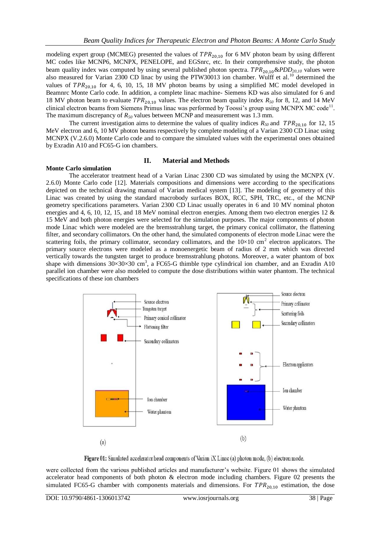modeling expert group (MCMEG) presented the values of  $TPR_{20,10}$  for 6 MV photon beam by using different MC codes like MCNP6, MCNPX, PENELOPE, and EGSnrc, etc. In their comprehensive study, the photon beam quality index was computed by using several published photon spectra.  $TPR_{20,10}$ &*PDD*<sub>20,10</sub> values were also measured for Varian 2300 CD linac by using the PTW30013 ion chamber. Wulff et al.<sup>10</sup> determined the values of  $TPR_{20,10}$  for 4, 6, 10, 15, 18 MV photon beams by using a simplified MC model developed in Beamnrc Monte Carlo code. In addition, a complete linac machine- Siemens KD was also simulated for 6 and 18 MV photon beam to evaluate  $TPR_{20,10}$  values. The electron beam quality index  $R_{50}$  for 8, 12, and 14 MeV clinical electron beams from Siemens Primus linac was performed by Toossi's group using MCNPX MC code<sup>11</sup>. The maximum discrepancy of *R<sup>50</sup>* values between MCNP and measurement was 1.3 mm.

The current investigation aims to determine the values of quality indices  $R_{50}$  and  $TPR_{20,10}$  for 12, 15 MeV electron and 6, 10 MV photon beams respectively by complete modeling of a Varian 2300 CD Linac using MCNPX (V.2.6.0) Monte Carlo code and to compare the simulated values with the experimental ones obtained by Exradin A10 and FC65-G ion chambers.

### **II. Material and Methods**

#### **Monte Carlo simulation**

The accelerator treatment head of a Varian Linac 2300 CD was simulated by using the MCNPX (V. 2.6.0) Monte Carlo code [12]. Materials compositions and dimensions were according to the specifications depicted on the technical drawing manual of Varian medical system [13]. The modeling of geometry of this Linac was created by using the standard macrobody surfaces BOX, RCC, SPH, TRC, etc., of the MCNP geometry specifications parameters. Varian 2300 CD Linac usually operates in 6 and 10 MV nominal photon energies and 4, 6, 10, 12, 15, and 18 MeV nominal electron energies. Among them two electron energies 12 & 15 MeV and both photon energies were selected for the simulation purposes. The major components of photon mode Linac which were modeled are the bremsstrahlung target, the primary conical collimator, the flattening filter, and secondary collimators. On the other hand, the simulated components of electron mode Linac were the scattering foils, the primary collimator, secondary collimators, and the  $10\times10$  cm<sup>2</sup> electron applicators. The primary source electrons were modeled as a monoenergetic beam of radius of 2 mm which was directed vertically towards the tungsten target to produce bremsstrahlung photons. Moreover, a water phantom of box shape with dimensions  $30\times30\times30$  cm<sup>3</sup>, a FC65-G thimble type cylindrical ion chamber, and an Exradin A10 parallel ion chamber were also modeled to compute the dose distributions within water phantom. The technical specifications of these ion chambers



Figure 01: Simulated accelerator head components of Varian iX Linac (a) photon mode, (b) electron mode.

were collected from the various published articles and manufacturer's website. Figure 01 shows the simulated accelerator head components of both photon & electron mode including chambers. Figure 02 presents the simulated FC65-G chamber with components materials and dimensions. For  $TPR_{20,10}$  estimation, the dose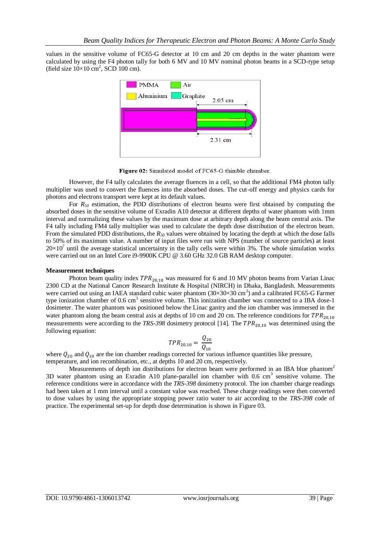values in the sensitive volume of FC65-G detector at 10 cm and 20 cm depths in the water phantom were calculated by using the F4 photon tally for both 6 MV and 10 MV nominal photon beams in a SCD-type setup (field size  $10\times10$  cm<sup>2</sup>, SCD 100 cm).



Figure 02: Simulated model of FC65-G thimble chamber.

However, the F4 tally calculates the average fluences in a cell, so that the additional FM4 photon tally multiplier was used to convert the fluences into the absorbed doses. The cut-off energy and physics cards for photons and electrons transport were kept at its default values.

For *R<sup>50</sup>* estimation, the PDD distributions of electron beams were first obtained by computing the absorbed doses in the sensitive volume of Exradin A10 detector at different depths of water phantom with 1mm interval and normalizing these values by the maximum dose at arbitrary depth along the beam central axis. The F4 tally including FM4 tally multiplier was used to calculate the depth dose distribution of the electron beam. From the simulated PDD distributions, the *R<sup>50</sup>* values were obtained by locating the depth at which the dose falls to 50% of its maximum value. A number of input files were run with NPS (number of source particles) at least  $20\times10^7$  until the average statistical uncertainty in the tally cells were within 3%. The whole simulation works were carried out on an Intel Core i9-9900K CPU @ 3.60 GHz 32.0 GB RAM desktop computer.

#### **Measurement techniques**

Photon beam quality index  $TPR_{20,10}$  was measured for 6 and 10 MV photon beams from Varian Linac 2300 CD at the National Cancer Research Institute & Hospital (NIRCH) in Dhaka, Bangladesh. Measurements were carried out using an IAEA standard cubic water phantom  $(30\times30\times30 \text{ cm}^3)$  and a calibrated FC65-G Farmer type ionization chamber of 0.6 cm<sup>3</sup> sensitive volume. This ionization chamber was connected to a IBA dose-1 dosimeter. The water phantom was positioned below the Linac gantry and the ion chamber was immersed in the water phantom along the beam central axis at depths of 10 cm and 20 cm. The reference conditions for  $TPR_{20,10}$ measurements were according to the  $TRS-398$  dosimetry protocol [14]. The  $TPR_{20,10}$  was determined using the following equation:

$$
TPR_{20,10} = \frac{Q_{20}}{Q_{10}}
$$

where  $Q_{20}$  and  $Q_{10}$  are the ion chamber readings corrected for various influence quantities like pressure, temperature, and ion recombination, etc., at depths 10 and 20 cm, respectively.

Measurements of depth ion distributions for electron beam were performed in an IBA blue phantom<sup>2</sup> 3D water phantom using an Exradin A10 plane-parallel ion chamber with 0.6 cm<sup>3</sup> sensitive volume. The reference conditions were in accordance with the *TRS-398* dosimetry protocol. The ion chamber charge readings had been taken at 1 mm interval until a constant value was reached. These charge readings were then converted to dose values by using the appropriate stopping power ratio water to air according to the *TRS-398* code of practice. The experimental set-up for depth dose determination is shown in Figure 03.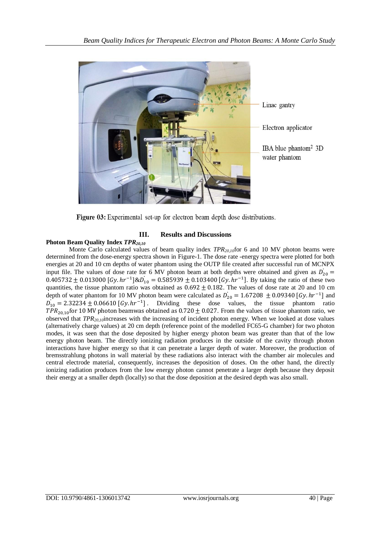

Figure 03: Experimental set-up for electron beam depth dose distributions.

## **III. Results and Discussions**

## **Photon Beam Quality Index** *TPR20,10*

Monte Carlo calculated values of beam quality index *TPR*<sub>20,10</sub>for 6 and 10 MV photon beams were determined from the dose-energy spectra shown in Figure-1. The dose rate -energy spectra were plotted for both energies at 20 and 10 cm depths of water phantom using the OUTP file created after successful run of MCNPX input file. The values of dose rate for 6 MV photon beam at both depths were obtained and given as  $\dot{D}_{20}$  =  $0.405732 \pm 0.013000$  [Gy.  $hr^{-1}$ ]  $\&D_{10} = 0.585939 \pm 0.103400$  [Gy.  $hr^{-1}$ ]. By taking the ratio of these two quantities, the tissue phantom ratio was obtained as  $0.692 \pm 0.182$ . The values of dose rate at 20 and 10 cm depth of water phantom for 10 MV photon beam were calculated as  $\dot{D}_{20} = 1.67208 \pm 0.09340$  [Gy.  $hr^{-1}$ ] and  $\ddot{D}_{10} = 2.32234 \pm 0.06610$  [Gy.  $hr^{-1}$ ]. Dividing these dose values, the tissue phantom ratio  $TPR_{20.10}$  for 10 MV photon beamwas obtained as 0.720  $\pm$  0.027. From the values of tissue phantom ratio, we observed that *TPR20,10*increases with the increasing of incident photon energy. When we looked at dose values (alternatively charge values) at 20 cm depth (reference point of the modelled FC65-G chamber) for two photon modes, it was seen that the dose deposited by higher energy photon beam was greater than that of the low energy photon beam. The directly ionizing radiation produces in the outside of the cavity through photon interactions have higher energy so that it can penetrate a larger depth of water. Moreover, the production of bremsstrahlung photons in wall material by these radiations also interact with the chamber air molecules and central electrode material, consequently, increases the deposition of doses. On the other hand, the directly ionizing radiation produces from the low energy photon cannot penetrate a larger depth because they deposit their energy at a smaller depth (locally) so that the dose deposition at the desired depth was also small.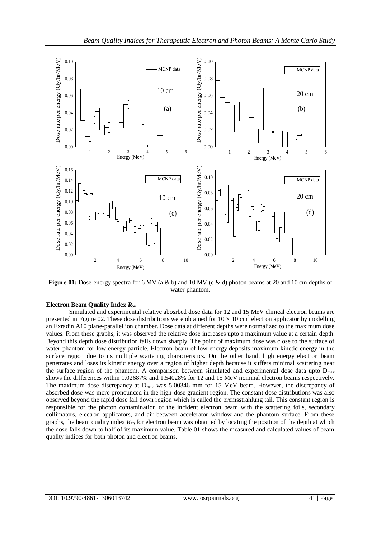

**Figure 01:** Dose-energy spectra for 6 MV (a & b) and 10 MV (c & d) photon beams at 20 and 10 cm depths of water phantom.

### **Electron Beam Quality Index** *R<sup>50</sup>*

Simulated and experimental relative abosrbed dose data for 12 and 15 MeV clinical electron beams are presented in Figure 02. These dose distributions were obtained for  $10 \times 10 \text{ cm}^2$  electron applicator by modelling an Exradin A10 plane-parallel ion chamber. Dose data at different depths were normalized to the maximum dose values. From these graphs, it was observed the relative dose increases upto a maximum value at a certain depth. Beyond this depth dose distribution falls down sharply. The point of maximum dose was close to the surface of water phantom for low energy particle. Electron beam of low energy deposits maximum kinetic energy in the surface region due to its multiple scattering characteristics. On the other hand, high energy electron beam penetrates and loses its kinetic energy over a region of higher depth because it suffers minimal scattering near the surface region of the phantom. A comparison between simulated and experimental dose data upto  $D_{\text{max}}$ shows the differences within 1.02687% and 1.54028% for 12 and 15 MeV nominal electron beams respectively. The maximum dose discrepancy at  $D_{\text{max}}$  was 5.00346 mm for 15 MeV beam. However, the discrepancy of absorbed dose was more pronounced in the high-dose gradient region. The constant dose distributions was also observed beyond the rapid dose fall down region which is called the bremsstrahlung tail. This constant region is responsible for the photon contamination of the incident electron beam with the scattering foils, secondary collimators, electron applicators, and air between accelerator window and the phantom surface. From these graphs, the beam quality index *R<sup>50</sup>* for electron beam was obtained by locating the position of the depth at which the dose falls down to half of its maximum value. Table 01 shows the measured and calculated values of beam quality indices for both photon and electron beams.